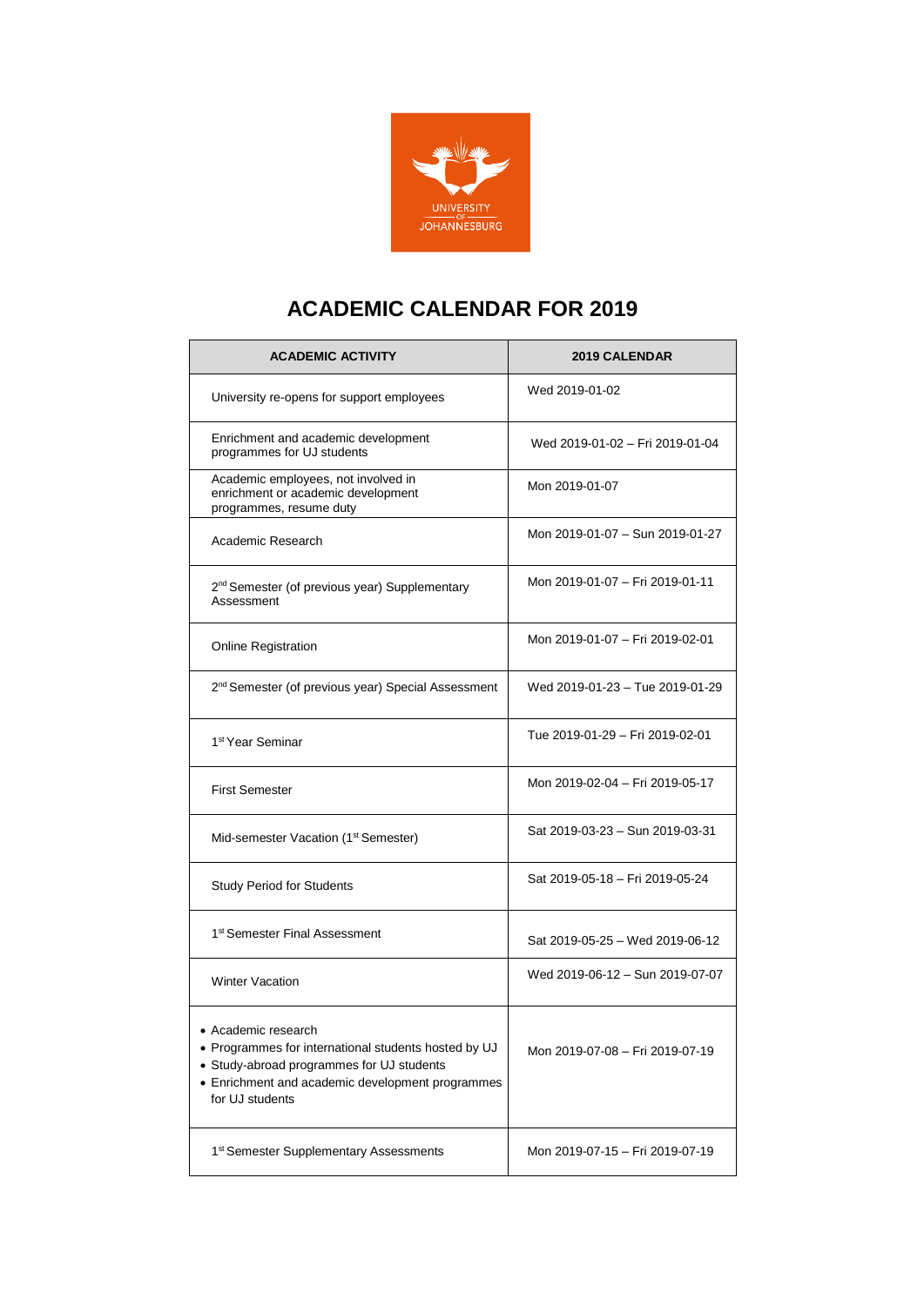

## **ACADEMIC CALENDAR FOR 2019**

| <b>ACADEMIC ACTIVITY</b>                                                                                                                                                                        | <b>2019 CALENDAR</b>            |
|-------------------------------------------------------------------------------------------------------------------------------------------------------------------------------------------------|---------------------------------|
| University re-opens for support employees                                                                                                                                                       | Wed 2019-01-02                  |
| Enrichment and academic development<br>programmes for UJ students                                                                                                                               | Wed 2019-01-02 - Fri 2019-01-04 |
| Academic employees, not involved in<br>enrichment or academic development<br>programmes, resume duty                                                                                            | Mon 2019-01-07                  |
| Academic Research                                                                                                                                                                               | Mon 2019-01-07 - Sun 2019-01-27 |
| 2 <sup>nd</sup> Semester (of previous year) Supplementary<br>Assessment                                                                                                                         | Mon 2019-01-07 - Fri 2019-01-11 |
| <b>Online Registration</b>                                                                                                                                                                      | Mon 2019-01-07 - Fri 2019-02-01 |
| 2 <sup>nd</sup> Semester (of previous year) Special Assessment                                                                                                                                  | Wed 2019-01-23 - Tue 2019-01-29 |
| 1 <sup>st</sup> Year Seminar                                                                                                                                                                    | Tue 2019-01-29 - Fri 2019-02-01 |
| <b>First Semester</b>                                                                                                                                                                           | Mon 2019-02-04 - Fri 2019-05-17 |
| Mid-semester Vacation (1 <sup>st</sup> Semester)                                                                                                                                                | Sat 2019-03-23 - Sun 2019-03-31 |
| <b>Study Period for Students</b>                                                                                                                                                                | Sat 2019-05-18 - Fri 2019-05-24 |
| 1 <sup>st</sup> Semester Final Assessment                                                                                                                                                       | Sat 2019-05-25 - Wed 2019-06-12 |
| <b>Winter Vacation</b>                                                                                                                                                                          | Wed 2019-06-12 - Sun 2019-07-07 |
| • Academic research<br>• Programmes for international students hosted by UJ<br>• Study-abroad programmes for UJ students<br>• Enrichment and academic development programmes<br>for UJ students | Mon 2019-07-08 - Fri 2019-07-19 |
| 1 <sup>st</sup> Semester Supplementary Assessments                                                                                                                                              | Mon 2019-07-15 - Fri 2019-07-19 |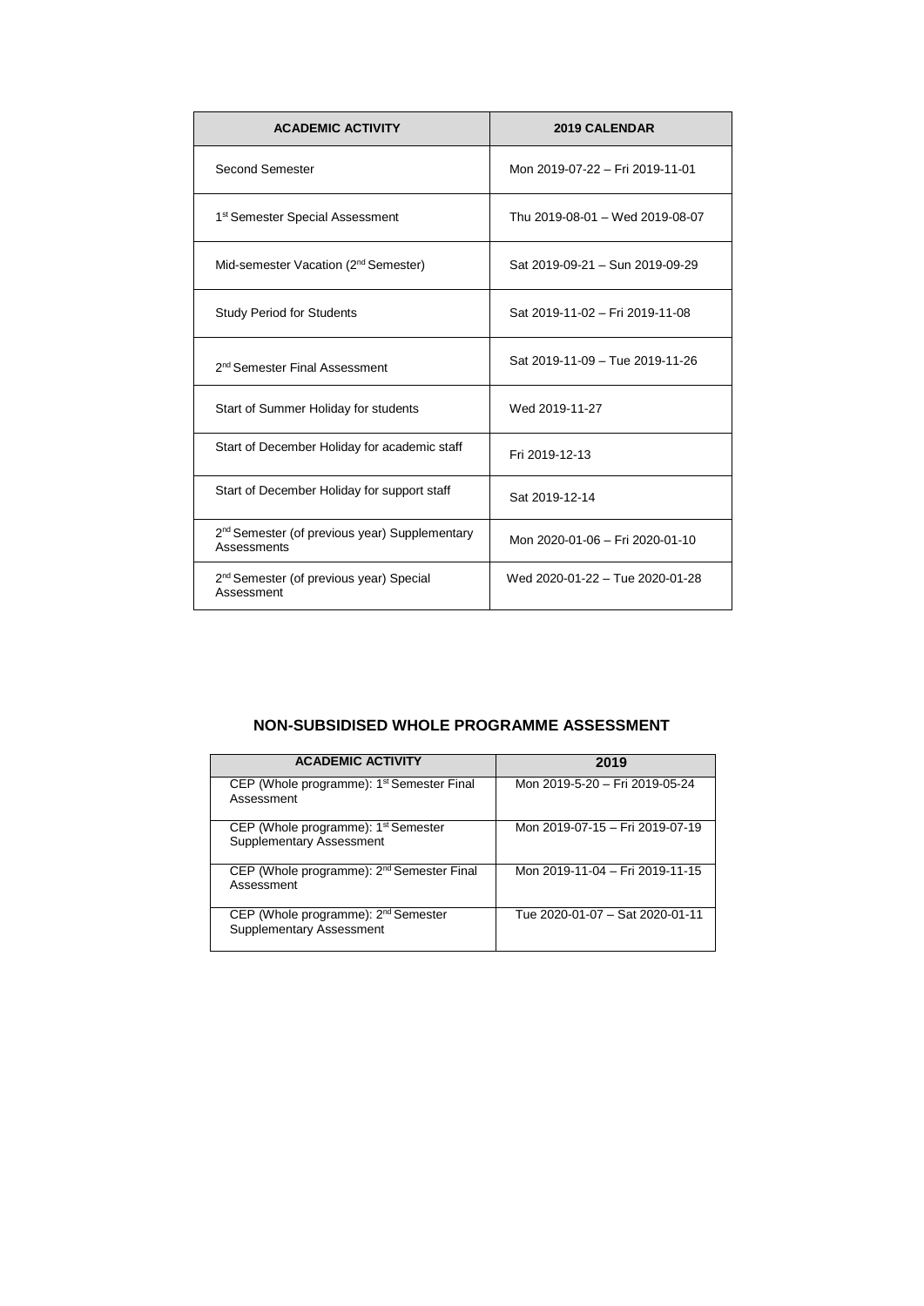| <b>ACADEMIC ACTIVITY</b>                                                 | 2019 CALENDAR                   |
|--------------------------------------------------------------------------|---------------------------------|
| Second Semester                                                          | Mon 2019-07-22 - Fri 2019-11-01 |
| 1 <sup>st</sup> Semester Special Assessment                              | Thu 2019-08-01 - Wed 2019-08-07 |
| Mid-semester Vacation (2 <sup>nd</sup> Semester)                         | Sat 2019-09-21 - Sun 2019-09-29 |
| <b>Study Period for Students</b>                                         | Sat 2019-11-02 - Fri 2019-11-08 |
| 2 <sup>nd</sup> Semester Final Assessment                                | Sat 2019-11-09 - Tue 2019-11-26 |
| Start of Summer Holiday for students                                     | Wed 2019-11-27                  |
| Start of December Holiday for academic staff                             | Fri 2019-12-13                  |
| Start of December Holiday for support staff                              | Sat 2019-12-14                  |
| 2 <sup>nd</sup> Semester (of previous year) Supplementary<br>Assessments | Mon 2020-01-06 - Fri 2020-01-10 |
| 2 <sup>nd</sup> Semester (of previous year) Special<br>Assessment        | Wed 2020-01-22 - Tue 2020-01-28 |

### **NON-SUBSIDISED WHOLE PROGRAMME ASSESSMENT**

| <b>ACADEMIC ACTIVITY</b>                                                           | 2019                            |
|------------------------------------------------------------------------------------|---------------------------------|
| CEP (Whole programme): 1 <sup>st</sup> Semester Final<br>Assessment                | Mon 2019-5-20 - Fri 2019-05-24  |
| CEP (Whole programme): 1 <sup>st</sup> Semester<br><b>Supplementary Assessment</b> | Mon 2019-07-15 - Fri 2019-07-19 |
| CEP (Whole programme): 2 <sup>nd</sup> Semester Final<br>Assessment                | Mon 2019-11-04 - Fri 2019-11-15 |
| CEP (Whole programme): 2 <sup>nd</sup> Semester<br><b>Supplementary Assessment</b> | Tue 2020-01-07 - Sat 2020-01-11 |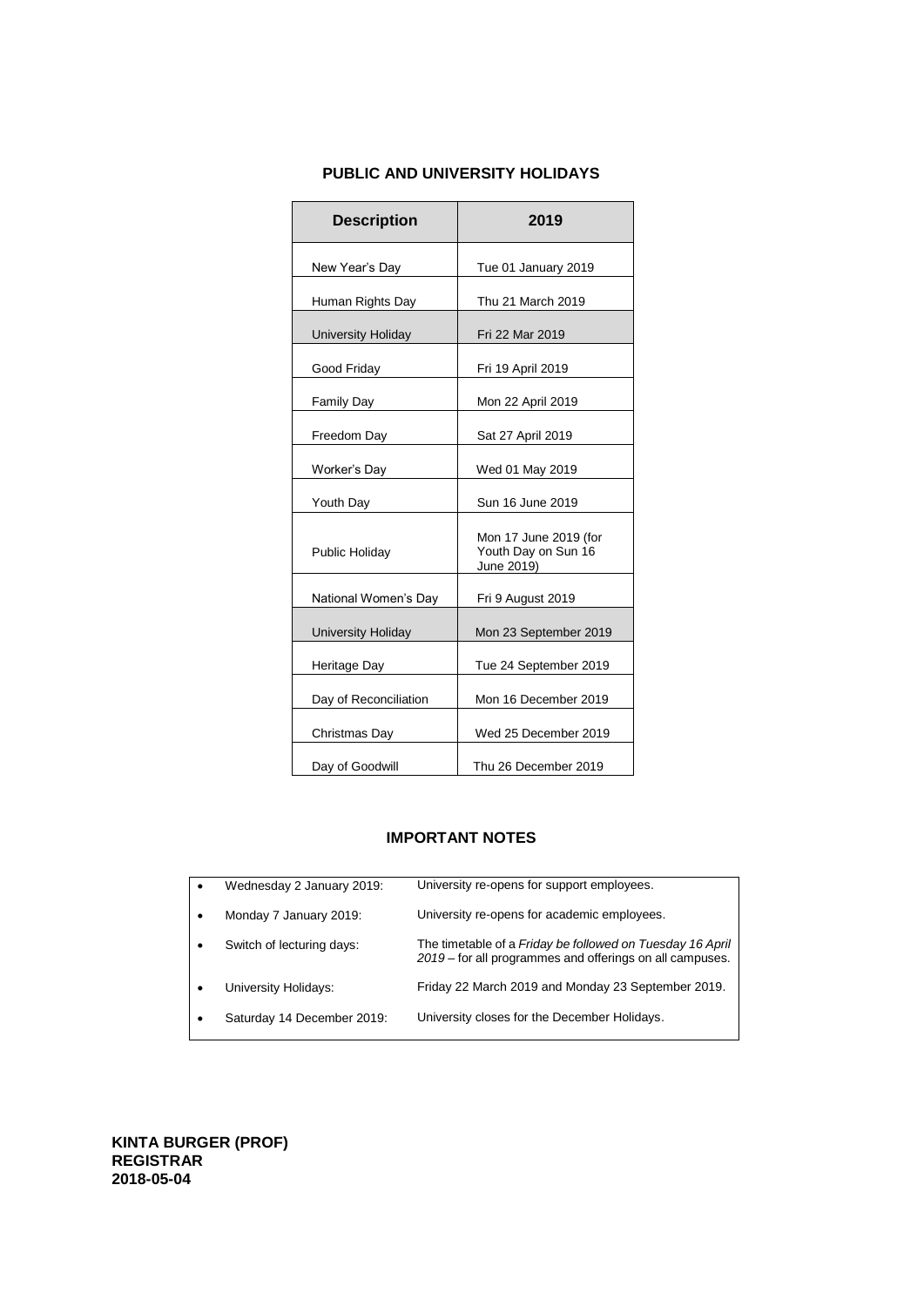### **PUBLIC AND UNIVERSITY HOLIDAYS**

| <b>Description</b>        | 2019                                                       |
|---------------------------|------------------------------------------------------------|
| New Year's Day            | Tue 01 January 2019                                        |
| Human Rights Day          | Thu 21 March 2019                                          |
| <b>University Holiday</b> | Fri 22 Mar 2019                                            |
| Good Friday               | Fri 19 April 2019                                          |
| <b>Family Day</b>         | Mon 22 April 2019                                          |
| Freedom Day               | Sat 27 April 2019                                          |
| Worker's Day              | Wed 01 May 2019                                            |
| Youth Day                 | Sun 16 June 2019                                           |
| Public Holiday            | Mon 17 June 2019 (for<br>Youth Day on Sun 16<br>June 2019) |
| National Women's Day      | Fri 9 August 2019                                          |
| University Holiday        | Mon 23 September 2019                                      |
| Heritage Day              | Tue 24 September 2019                                      |
| Day of Reconciliation     | Mon 16 December 2019                                       |
| Christmas Day             | Wed 25 December 2019                                       |
| Day of Goodwill           | Thu 26 December 2019                                       |

#### **IMPORTANT NOTES**

|           | Wednesday 2 January 2019:  | University re-opens for support employees.                                                                            |
|-----------|----------------------------|-----------------------------------------------------------------------------------------------------------------------|
|           | Monday 7 January 2019:     | University re-opens for academic employees.                                                                           |
| $\bullet$ | Switch of lecturing days:  | The timetable of a Friday be followed on Tuesday 16 April<br>2019 - for all programmes and offerings on all campuses. |
|           | University Holidays:       | Friday 22 March 2019 and Monday 23 September 2019.                                                                    |
| ٠         | Saturday 14 December 2019: | University closes for the December Holidays.                                                                          |
|           |                            |                                                                                                                       |

**KINTA BURGER (PROF) REGISTRAR 2018-05-04**